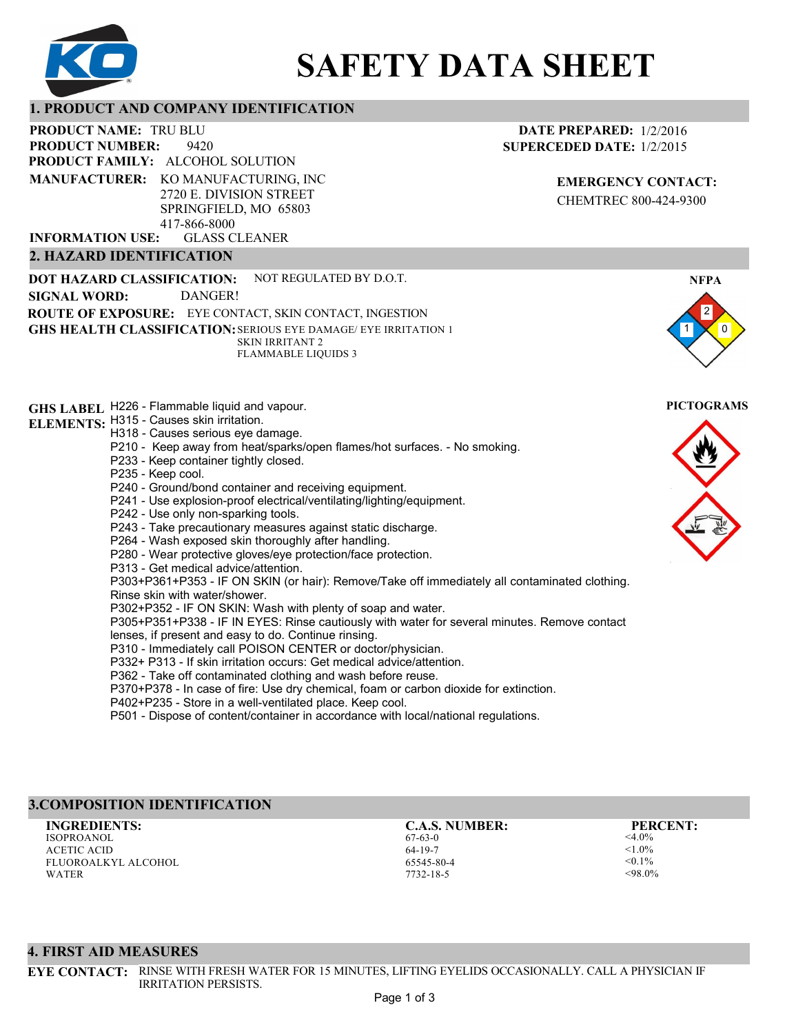

# **SAFETY DATA SHEET**

## **1. PRODUCT AND COMPANY IDENTIFICATION**

9420 **PRODUCT NAME: TRU BLU PRODUCT FAMILY: ALCOHOL SOLUTION** GLASS CLEANER **PRODUCT NUMBER: MANUFACTURER:** KO MANUFACTURING, INC 2720 E. DIVISION STREET SPRINGFIELD, MO 65803 417-866-8000 **INFORMATION USE:**

## **2. HAZARD IDENTIFICATION**

**DOT HAZARD CLASSIFICATION: GHS HEALTH CLASSIFICATION:** SERIOUS EYE DAMAGE/ EYE IRRITATION 1 **ROUTE OF EXPOSURE:** EYE CONTACT, SKIN CONTACT, INGESTION NOT REGULATED BY D.O.T. SKIN IRRITANT 2 FLAMMABLE LIQUIDS 3 **SIGNAL WORD:** DANGER!

**GHS LABEL**  H226 - Flammable liquid and vapour. **PICTOGRAMS ELEMENTS:** H315 - Causes skin irritation.

H318 - Causes serious eye damage.

- P210 Keep away from heat/sparks/open flames/hot surfaces. No smoking.
- P233 Keep container tightly closed.
- P235 Keep cool.
- P240 Ground/bond container and receiving equipment.
- P241 Use explosion-proof electrical/ventilating/lighting/equipment.
- P242 Use only non-sparking tools.

P243 - Take precautionary measures against static discharge.

- P264 Wash exposed skin thoroughly after handling.
- P280 Wear protective gloves/eye protection/face protection.
- P313 Get medical advice/attention.

P303+P361+P353 - IF ON SKIN (or hair): Remove/Take off immediately all contaminated clothing.

- Rinse skin with water/shower.
- P302+P352 IF ON SKIN: Wash with plenty of soap and water.

P305+P351+P338 - IF IN EYES: Rinse cautiously with water for several minutes. Remove contact lenses, if present and easy to do. Continue rinsing.

P310 - Immediately call POISON CENTER or doctor/physician.

P332+ P313 - If skin irritation occurs: Get medical advice/attention.

P362 - Take off contaminated clothing and wash before reuse.

P370+P378 - In case of fire: Use dry chemical, foam or carbon dioxide for extinction.

P402+P235 - Store in a well-ventilated place. Keep cool.

P501 - Dispose of content/container in accordance with local/national regulations.

# **3.COMPOSITION IDENTIFICATION**

ISOPROANOL ACETIC ACID FLUOROALKYL ALCOHOL WATER **INGREDIENTS: C.A.S. NUMBER: PERCENT:**

67-63-0 64-19-7 65545-80-4 7732-18-5

<4.0%  $< 1.0\%$  $< 0.1\%$ <98.0%

**4. FIRST AID MEASURES**

**EYE CONTACT:** RINSE WITH FRESH WATER FOR 15 MINUTES, LIFTING EYELIDS OCCASIONALLY. CALL A PHYSICIAN IF IRRITATION PERSISTS.



**EMERGENCY CONTACT:** CHEMTREC 800-424-9300

**DATE PREPARED:** 1/2/2016 **SUPERCEDED DATE:** 1/2/2015



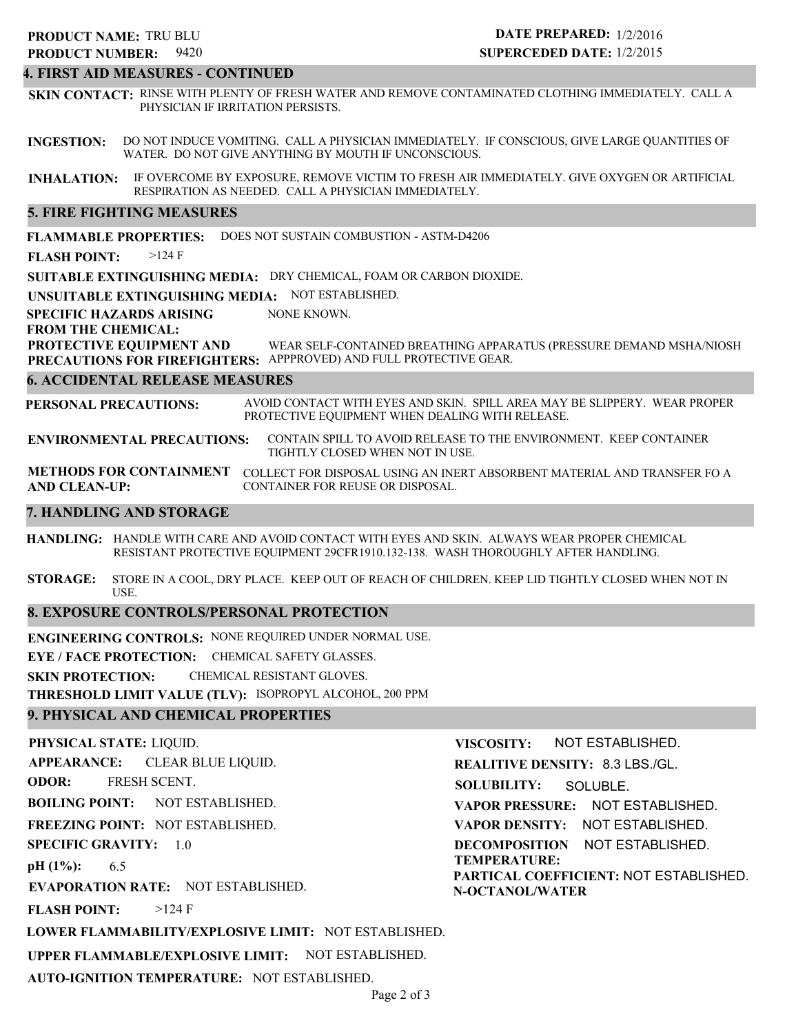# 9420 **PRODUCT NUMBER: PRODUCT NAME: TRU BLU**

# **DATE PREPARED:** 1/2/2016 **SUPERCEDED DATE:** 1/2/2015

# **4. FIRST AID MEASURES - CONTINUED**

**SKIN CONTACT:** RINSE WITH PLENTY OF FRESH WATER AND REMOVE CONTAMINATED CLOTHING IMMEDIATELY. CALL A PHYSICIAN IF IRRITATION PERSISTS.

**INGESTION:** DO NOT INDUCE VOMITING. CALL A PHYSICIAN IMMEDIATELY. IF CONSCIOUS, GIVE LARGE QUANTITIES OF WATER. DO NOT GIVE ANYTHING BY MOUTH IF UNCONSCIOUS.

**INHALATION:** IF OVERCOME BY EXPOSURE, REMOVE VICTIM TO FRESH AIR IMMEDIATELY. GIVE OXYGEN OR ARTIFICIAL RESPIRATION AS NEEDED. CALL A PHYSICIAN IMMEDIATELY.

## **5. FIRE FIGHTING MEASURES**

**FLAMMABLE PROPERTIES:** DOES NOT SUSTAIN COMBUSTION - ASTM-D4206

**FLASH POINT:** >124 F

**SUITABLE EXTINGUISHING MEDIA:** DRY CHEMICAL, FOAM OR CARBON DIOXIDE.

**UNSUITABLE EXTINGUISHING MEDIA:** NOT ESTABLISHED.

**SPECIFIC HAZARDS ARISING** NONE KNOWN.

#### **FROM THE CHEMICAL:**

**PROTECTIVE EQUIPMENT AND PRECAUTIONS FOR FIREFIGHTERS:** APPPROVED) AND FULL PROTECTIVE GEAR. WEAR SELF-CONTAINED BREATHING APPARATUS (PRESSURE DEMAND MSHA/NIOSH

## **6. ACCIDENTAL RELEASE MEASURES**

**PERSONAL PRECAUTIONS:** AVOID CONTACT WITH EYES AND SKIN. SPILL AREA MAY BE SLIPPERY. WEAR PROPER PROTECTIVE EQUIPMENT WHEN DEALING WITH RELEASE.

**ENVIRONMENTAL PRECAUTIONS:** CONTAIN SPILL TO AVOID RELEASE TO THE ENVIRONMENT. KEEP CONTAINER TIGHTLY CLOSED WHEN NOT IN USE.

**METHODS FOR CONTAINMENT** COLLECT FOR DISPOSAL USING AN INERT ABSORBENT MATERIAL AND TRANSFER FO A **AND CLEAN-UP:** CONTAINER FOR REUSE OR DISPOSAL.

## **7. HANDLING AND STORAGE**

**HANDLING:** HANDLE WITH CARE AND AVOID CONTACT WITH EYES AND SKIN. ALWAYS WEAR PROPER CHEMICAL RESISTANT PROTECTIVE EQUIPMENT 29CFR1910.132-138. WASH THOROUGHLY AFTER HANDLING.

**STORAGE:** STORE IN A COOL, DRY PLACE. KEEP OUT OF REACH OF CHILDREN. KEEP LID TIGHTLY CLOSED WHEN NOT IN USE.

## **8. EXPOSURE CONTROLS/PERSONAL PROTECTION**

**ENGINEERING CONTROLS:** NONE REQUIRED UNDER NORMAL USE.

**EYE / FACE PROTECTION:** CHEMICAL SAFETY GLASSES.

**SKIN PROTECTION:** CHEMICAL RESISTANT GLOVES.

**AUTO-IGNITION TEMPERATURE:** NOT ESTABLISHED.

**THRESHOLD LIMIT VALUE (TLV):** ISOPROPYL ALCOHOL, 200 PPM

# **9. PHYSICAL AND CHEMICAL PROPERTIES**

**PHYSICAL STATE:** LIQUID. **APPEARANCE: ODOR: BOILING POINT: FREEZING POINT:** NOT ESTABLISHED. **SPECIFIC GRAVITY:** 1.0 **pH (1%): EVAPORATION RATE:** NOT ESTABLISHED. **FLASH POINT: LOWER FLAMMABILITY/EXPLOSIVE LIMIT:** NOT ESTABLISHED. **UPPER FLAMMABLE/EXPLOSIVE LIMIT:** NOT ESTABLISHED. NOT ESTABLISHED. 6.5  $>124$  F CLEAR BLUE LIQUID. FRESH SCENT. **VISCOSITY: REALITIVE DENSITY:** 8.3 LBS./GL. **SOLUBILITY: VAPOR PRESSURE:** NOT ESTABLISHED. **VAPOR DENSITY:** NOT ESTABLISHED. **DECOMPOSITION** NOT ESTABLISHED. **TEMPERATURE: PARTICAL COEFFICIENT:** NOT ESTABLISHED. **N-OCTANOL/WATER** NOT ESTABLISHED. SOLUBLE.